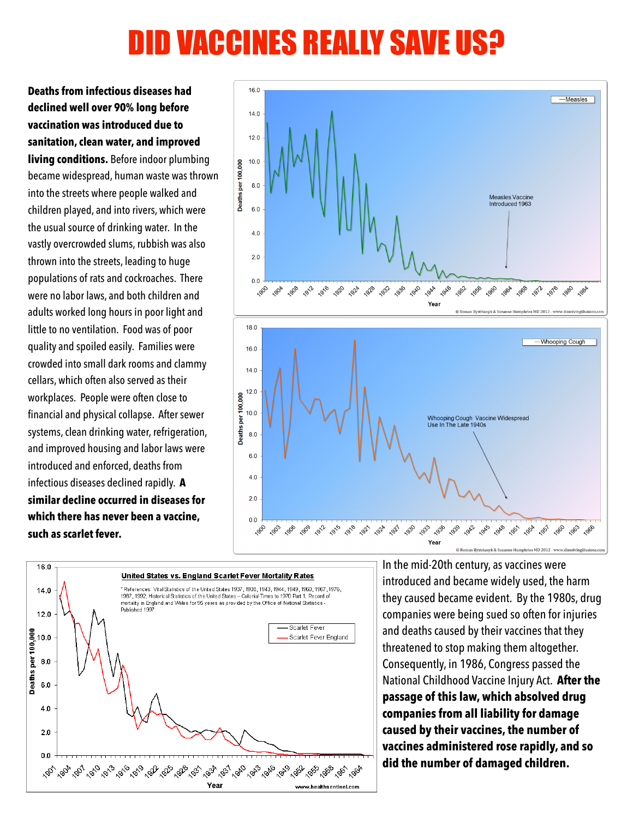# DID VACCINES REALLY SAVE US?

**Deaths from infectious diseases had declined well over 90% long before vaccination was introduced due to sanitation, clean water, and improved living conditions.** Before indoor plumbing became widespread, human waste was thrown into the streets where people walked and children played, and into rivers, which were the usual source of drinking water. In the vastly overcrowded slums, rubbish was also thrown into the streets, leading to huge populations of rats and cockroaches. There were no labor laws, and both children and adults worked long hours in poor light and little to no ventilation. Food was of poor quality and spoiled easily. Families were crowded into small dark rooms and clammy cellars, which often also served as their workplaces. People were often close to financial and physical collapse. After sewer systems, clean drinking water, refrigeration, and improved housing and labor laws were introduced and enforced, deaths from infectious diseases declined rapidly. **A similar decline occurred in diseases for which there has never been a vaccine, such as scarlet fever.** 





In the mid-20th century, as vaccines were introduced and became widely used, the harm they caused became evident. By the 1980s, drug companies were being sued so often for injuries and deaths caused by their vaccines that they threatened to stop making them altogether. Consequently, in 1986, Congress passed the National Childhood Vaccine Injury Act. **After the passage of this law, which absolved drug companies from all liability for damage caused by their vaccines, the number of vaccines administered rose rapidly, and so did the number of damaged children.**